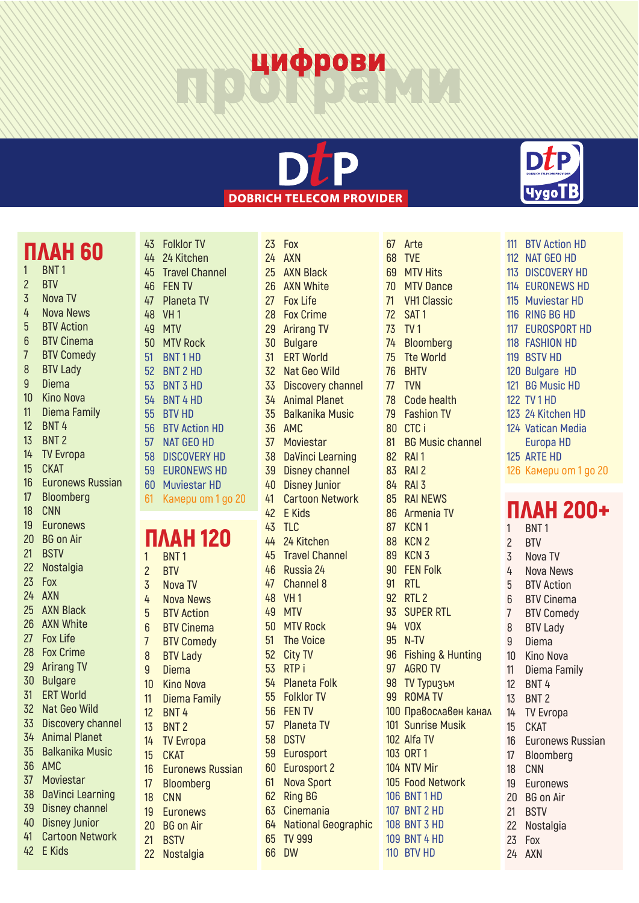## цифрови



### **ПЛАН 60 BNT 1**

- **BTV**
- **Nova TV**
- **Nova News**
- **BTV Action**
- **BTV Cinema**
- **BTV Comedy**
- **BTV Lady**
- **Diema**
- **Kino Nova**
- **Diema Family**
- **BNT 4**
- **BNT 2**
- **TV Evropa**
- **СКАТ**
- **Euronews Russian**
- **Bloomberg**
- **CNN Euronews**
- **BG on Air**
- **BSTV**
- **Nostalgia**
- **Fox**
- **AXN**
- **AXN Black**
- **AXN White**
- **Fox Life**
- **Fox Crime**
- **Arirang TV**
- **Bulgare**
- **ERT World**
- **Nat Geo Wild**
- **Discovery channel Animal Planet**
- **Balkanika Music**
- **AMC**
- **Moviestar**
- **DaVinci Learning**
- **Disney channel**
- **Disney Junior**
- **Cartoon Network**
- **E Kids**

 **Travel Channel FEN TV Planeta TV VH 1 MTV MTV Rock BNT 1 HD BNT 2 HD BNT 3 HD BNT 4 HD BTV HD BTV Action HD NAТ GEO HD DISCOVERY HD EURONEWS HD Muviestar HD Камери от 1 до 20**

 **Folklor TV 24 Kitchen**

### **ПЛАН 120 BNT 1**

 **BTV Nova TV Nova News BTV Action BTV Cinema BTV Comedy BTV Lady Diema Kino Nova Diema Family BNT 4 BNT 2 TV Evropa СКАТ Euronews Russian Bloomberg CNN Euronews BG on Air BSTV Nostalgia**

|                 | 23 Fox                     |
|-----------------|----------------------------|
|                 | 24 AXN                     |
| 25 <sub>2</sub> | <b>AXN Black</b>           |
|                 | 26 AXN White               |
|                 | 27 Fox Life                |
| 28              | <b>Fox Crime</b>           |
| 29              | <b>Arirang TV</b>          |
| 30              | <b>Bulgare</b>             |
| 31              | <b>ERT World</b>           |
|                 | 32 Nat Geo Wild            |
|                 | 33 Discovery channel       |
|                 | 34 Animal Planet           |
| 35              | <b>Balkanika Music</b>     |
|                 | 36 AMC                     |
|                 | 37 Moviestar               |
| 38              | <b>DaVinci Learning</b>    |
| 39              | <b>Disney channel</b>      |
| 40              | <b>Disney Junior</b>       |
| 41              | <b>Cartoon Network</b>     |
|                 | 42 E Kids                  |
| 43              | <b>TLC</b>                 |
| 44              | 24 Kitchen                 |
| 45              | <b>Travel Channel</b>      |
| 46              | Russia 24                  |
| 47              | <b>Channel 8</b>           |
| 48              | VH <sub>1</sub>            |
| 49              | <b>MTV</b>                 |
| 50 <sub>2</sub> | <b>MTV Rock</b>            |
| 51              | <b>The Voice</b>           |
|                 | 52 City TV                 |
|                 | 53 RTPi                    |
|                 | 54 Planeta Folk            |
|                 | 55 Folklor TV              |
| 56              | <b>FEN TV</b>              |
| 57              | <b>Planeta TV</b>          |
| 58              | <b>DSTV</b>                |
| 59              | Eurosport                  |
| 60              | <b>Eurosport 2</b>         |
| 61              | <b>Nova Sport</b>          |
| 62              | <b>Ring BG</b>             |
| 63              | Cinemania                  |
| 64              | <b>National Geographic</b> |
| 65              | <b>TV 999</b>              |
| 66              | <b>DW</b>                  |

| 67               | Arte                    |
|------------------|-------------------------|
|                  | <b>68 TVE</b>           |
|                  | 69 MTV Hits             |
| 70 <sub>2</sub>  | <b>MTV Dance</b>        |
| 71               | <b>VH1 Classic</b>      |
|                  | 72 SAT 1                |
|                  | 73 TV1                  |
|                  | 74 Bloomberg            |
|                  | 75 Tte World            |
| 76               | <b>BHTV</b>             |
| 77               | <b>TVN</b>              |
|                  | 78 Code health          |
| 79               | <b>Fashion TV</b>       |
|                  | 80 CTC i                |
| 81               | <b>BG Music channel</b> |
|                  | 82 RAI1                 |
|                  | 83 RAI 2                |
| 84               | RAI <sub>3</sub>        |
|                  | 85 RAI NEWS             |
|                  | 86 Armenia TV           |
|                  | 87 KCN 1                |
|                  | <b>88 KCN 2</b>         |
|                  | <b>89 KCN 3</b>         |
|                  | 90 FEN Folk             |
|                  | 91 RTL                  |
|                  | 92 RTL 2                |
|                  | 93 SUPER RTL            |
|                  | 94 VOX                  |
|                  | 95 N-TV                 |
|                  | 96 Fishing & Hunting    |
| 97               | <b>AGRO TV</b>          |
| 98               | <b>TV Туризъм</b>       |
| 99               | <b>ROMATV</b>           |
|                  | 100 Православен канал   |
| 101              | <b>Sunrise Musik</b>    |
| 102 <sub>2</sub> | Alfa TV                 |
| 103              | ORT <sub>1</sub>        |
|                  | 104 NTV Mir             |
|                  | 105 Food Network        |
|                  | <b>106 BNT 1 HD</b>     |
|                  | 107 BNT 2 HD            |
|                  | <b>108 BNT 3 HD</b>     |
|                  | <b>109 BNT 4 HD</b>     |
|                  | 110 BTV HD              |



- **BTV Action HD**
- **NAТ GEO HD**
- **DISCOVERY HD**
- **EURONEWS HD**
- **Muviestar HD**
- **RING BG HD**
- **EUROSPORT HD FASHION HD**
- **BSTV HD**
- **Bulgare HD**
- **BG Music HD**
- **TV 1 HD**
- **24 Kitchen HD**
- **Vatican Media**
- **Europa HD**
- **ARTE HD**
- **Камери от 1 до 20**

### ПЛАН 200+ **BNT 1**

| $\overline{c}$   | <b>BTV</b>              |
|------------------|-------------------------|
| 3                | Nova TV                 |
| 4                | <b>Nova News</b>        |
| 5 <sub>5</sub>   | <b>BTV Action</b>       |
| 6 <sup>1</sup>   | <b>BTV Cinema</b>       |
| 7                | <b>BTV Comedy</b>       |
| 8                | <b>BTV Lady</b>         |
| 9                | Diema                   |
| $10-10$          | Kino Nova               |
| 11               | Diema Family            |
|                  | 12 BNT 4                |
|                  | 13 BNT 2                |
|                  | 14 TV Evropa            |
| 15 <sup>15</sup> | <b>CKAT</b>             |
| 16               | <b>Euronews Russian</b> |
| 17               | Bloomberg               |
| 18               | <b>CNN</b>              |
| 19               | <b>Euronews</b>         |
|                  | 20 BG on Air            |
| 21               | <b>BSTV</b>             |
|                  | 22 Nostalgia            |
|                  | 23 Fox                  |
| 24               | AXN                     |